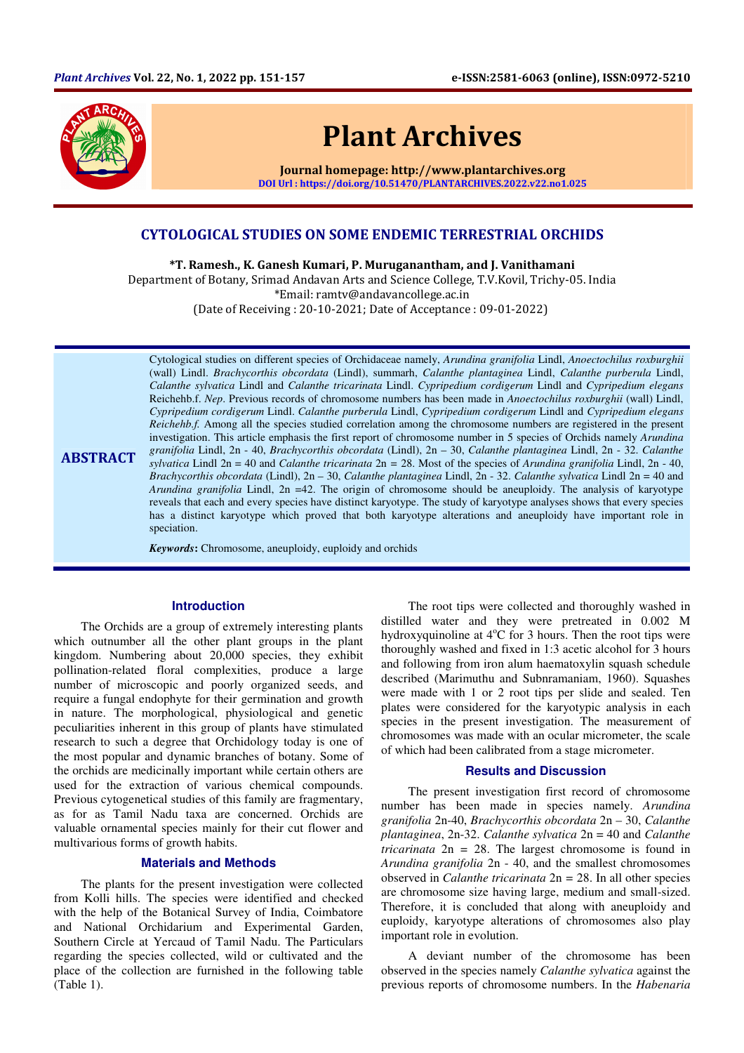

**ABSTRACT** 

# Plant Archives

Journal homepage: http://www.plantarchives.org DOI Url : https://doi.org/10.51470/PLANTARCHIVES.2022.v22.no1.025

# CYTOLOGICAL STUDIES ON SOME ENDEMIC TERRESTRIAL ORCHIDS

\*T. Ramesh., K. Ganesh Kumari, P. Muruganantham, and J. Vanithamani Department of Botany, Srimad Andavan Arts and Science College, T.V.Kovil, Trichy-05. India \*Email: ramtv@andavancollege.ac.in (Date of Receiving : 20-10-2021; Date of Acceptance : 09-01-2022)

Cytological studies on different species of Orchidaceae namely, *Arundina granifolia* Lindl, *Anoectochilus roxburghii*  (wall) Lindl. *Brachycorthis obcordata* (Lindl), summarh, *Calanthe plantaginea* Lindl, *Calanthe purberula* Lindl, *Calanthe sylvatica* Lindl and *Calanthe tricarinata* Lindl. *Cypripedium cordigerum* Lindl and *Cypripedium elegans*  Reichehb.f. *Nep*. Previous records of chromosome numbers has been made in *Anoectochilus roxburghii* (wall) Lindl, *Cypripedium cordigerum* Lindl. *Calanthe purberula* Lindl, *Cypripedium cordigerum* Lindl and *Cypripedium elegans Reichehb.f.* Among all the species studied correlation among the chromosome numbers are registered in the present investigation. This article emphasis the first report of chromosome number in 5 species of Orchids namely *Arundina granifolia* Lindl, 2n - 40, *Brachycorthis obcordata* (Lindl), 2n – 30, *Calanthe plantaginea* Lindl, 2n - 32. *Calanthe sylvatica* Lindl 2n = 40 and *Calanthe tricarinata* 2n *=* 28. Most of the species of *Arundina granifolia* Lindl, 2n - 40, *Brachycorthis obcordata* (Lindl), 2n – 30, *Calanthe plantaginea* Lindl, 2n - 32. *Calanthe sylvatica* Lindl 2n = 40 and *Arundina granifolia* Lindl, 2n =42. The origin of chromosome should be aneuploidy. The analysis of karyotype reveals that each and every species have distinct karyotype. The study of karyotype analyses shows that every species has a distinct karyotype which proved that both karyotype alterations and aneuploidy have important role in speciation.

*Keywords***:** Chromosome, aneuploidy, euploidy and orchids

# **Introduction**

The Orchids are a group of extremely interesting plants which outnumber all the other plant groups in the plant kingdom. Numbering about 20,000 species, they exhibit pollination-related floral complexities, produce a large number of microscopic and poorly organized seeds, and require a fungal endophyte for their germination and growth in nature. The morphological, physiological and genetic peculiarities inherent in this group of plants have stimulated research to such a degree that Orchidology today is one of the most popular and dynamic branches of botany. Some of the orchids are medicinally important while certain others are used for the extraction of various chemical compounds. Previous cytogenetical studies of this family are fragmentary, as for as Tamil Nadu taxa are concerned. Orchids are valuable ornamental species mainly for their cut flower and multivarious forms of growth habits.

## **Materials and Methods**

The plants for the present investigation were collected from Kolli hills. The species were identified and checked with the help of the Botanical Survey of India, Coimbatore and National Orchidarium and Experimental Garden, Southern Circle at Yercaud of Tamil Nadu. The Particulars regarding the species collected, wild or cultivated and the place of the collection are furnished in the following table (Table 1).

The root tips were collected and thoroughly washed in distilled water and they were pretreated in 0.002 M hydroxyquinoline at  $4^{\circ}$ C for 3 hours. Then the root tips were thoroughly washed and fixed in 1:3 acetic alcohol for 3 hours and following from iron alum haematoxylin squash schedule described (Marimuthu and Subnramaniam, 1960). Squashes were made with 1 or 2 root tips per slide and sealed. Ten plates were considered for the karyotypic analysis in each species in the present investigation. The measurement of chromosomes was made with an ocular micrometer, the scale of which had been calibrated from a stage micrometer.

#### **Results and Discussion**

The present investigation first record of chromosome number has been made in species namely. *Arundina granifolia* 2n-40, *Brachycorthis obcordata* 2n – 30, *Calanthe plantaginea*, 2n-32. *Calanthe sylvatica* 2n = 40 and *Calanthe tricarinata* 2n *=* 28. The largest chromosome is found in *Arundina granifolia* 2n - 40, and the smallest chromosomes observed in *Calanthe tricarinata* 2n *=* 28. In all other species are chromosome size having large, medium and small-sized. Therefore, it is concluded that along with aneuploidy and euploidy, karyotype alterations of chromosomes also play important role in evolution.

A deviant number of the chromosome has been observed in the species namely *Calanthe sylvatica* against the previous reports of chromosome numbers. In the *Habenaria*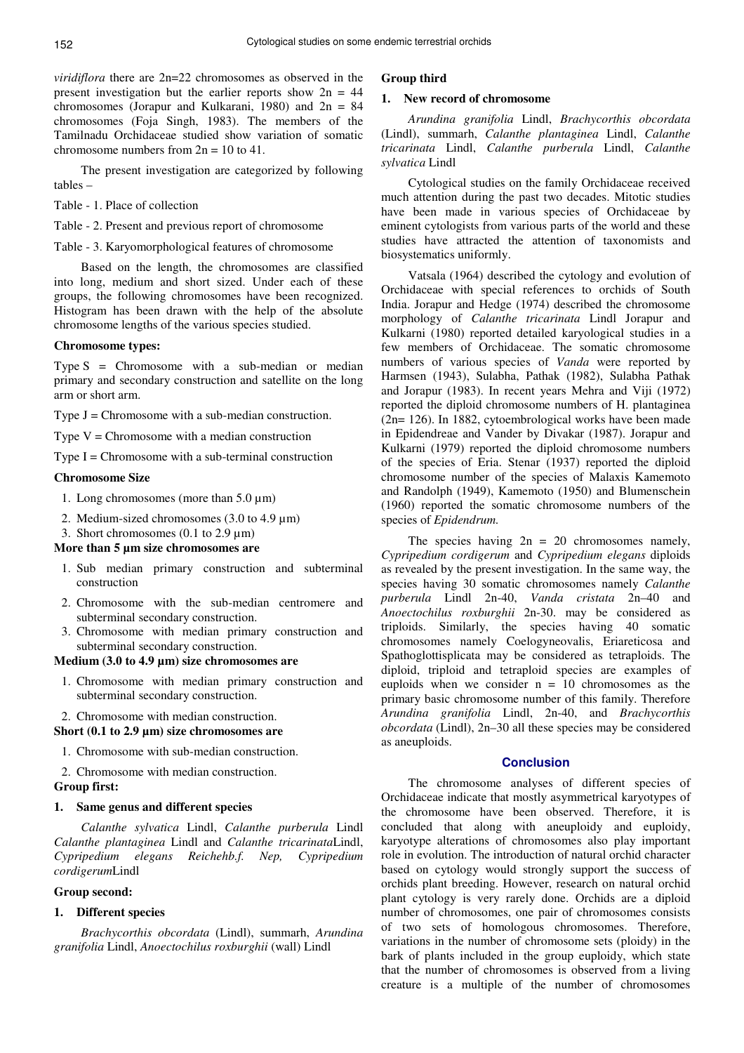*viridiflora* there are 2n=22 chromosomes as observed in the present investigation but the earlier reports show  $2n = 44$ chromosomes (Jorapur and Kulkarani, 1980) and  $2n = 84$ chromosomes (Foja Singh, 1983). The members of the Tamilnadu Orchidaceae studied show variation of somatic chromosome numbers from  $2n = 10$  to 41.

The present investigation are categorized by following tables –

Table - 1. Place of collection

Table - 2. Present and previous report of chromosome

Table - 3. Karyomorphological features of chromosome

Based on the length, the chromosomes are classified into long, medium and short sized. Under each of these groups, the following chromosomes have been recognized. Histogram has been drawn with the help of the absolute chromosome lengths of the various species studied.

## **Chromosome types:**

Type  $S =$  Chromosome with a sub-median or median primary and secondary construction and satellite on the long arm or short arm.

Type  $J =$  Chromosome with a sub-median construction.

Type  $V =$  Chromosome with a median construction

Type  $I =$  Chromosome with a sub-terminal construction

#### **Chromosome Size**

- 1. Long chromosomes (more than  $5.0 \,\mu m$ )
- 2. Medium-sized chromosomes (3.0 to 4.9 µm)
- 3. Short chromosomes  $(0.1 \text{ to } 2.9 \text{ }\mu\text{m})$

## **More than 5 µm size chromosomes are**

- 1. Sub median primary construction and subterminal construction
- 2. Chromosome with the sub-median centromere and subterminal secondary construction.
- 3. Chromosome with median primary construction and subterminal secondary construction.

# **Medium (3.0 to 4.9 µm) size chromosomes are**

- 1. Chromosome with median primary construction and subterminal secondary construction.
- 2. Chromosome with median construction.

**Short (0.1 to 2.9 µm) size chromosomes are** 

1. Chromosome with sub-median construction.

2. Chromosome with median construction.

# **Group first:**

## **1. Same genus and different species**

*Calanthe sylvatica* Lindl, *Calanthe purberula* Lindl *Calanthe plantaginea* Lindl and *Calanthe tricarinata*Lindl, *Cypripedium elegans Reichehb.f. Nep, Cypripedium cordigerum*Lindl

## **Group second:**

## **1. Different species**

*Brachycorthis obcordata* (Lindl), summarh, *Arundina granifolia* Lindl, *Anoectochilus roxburghii* (wall) Lindl

## **Group third**

## **1. New record of chromosome**

*Arundina granifolia* Lindl, *Brachycorthis obcordata*  (Lindl), summarh, *Calanthe plantaginea* Lindl, *Calanthe tricarinata* Lindl, *Calanthe purberula* Lindl, *Calanthe sylvatica* Lindl

Cytological studies on the family Orchidaceae received much attention during the past two decades. Mitotic studies have been made in various species of Orchidaceae by eminent cytologists from various parts of the world and these studies have attracted the attention of taxonomists and biosystematics uniformly.

Vatsala (1964) described the cytology and evolution of Orchidaceae with special references to orchids of South India. Jorapur and Hedge (1974) described the chromosome morphology of *Calanthe tricarinata* Lindl Jorapur and Kulkarni (1980) reported detailed karyological studies in a few members of Orchidaceae. The somatic chromosome numbers of various species of *Vanda* were reported by Harmsen (1943), Sulabha, Pathak (1982), Sulabha Pathak and Jorapur (1983). In recent years Mehra and Viji (1972) reported the diploid chromosome numbers of H. plantaginea (2n= 126). In 1882, cytoembrological works have been made in Epidendreae and Vander by Divakar (1987). Jorapur and Kulkarni (1979) reported the diploid chromosome numbers of the species of Eria. Stenar (1937) reported the diploid chromosome number of the species of Malaxis Kamemoto and Randolph (1949), Kamemoto (1950) and Blumenschein (1960) reported the somatic chromosome numbers of the species of *Epidendrum.*

The species having  $2n = 20$  chromosomes namely, *Cypripedium cordigerum* and *Cypripedium elegans* diploids as revealed by the present investigation. In the same way, the species having 30 somatic chromosomes namely *Calanthe purberula* Lindl 2n-40, *Vanda cristata* 2n–40 and *Anoectochilus roxburghii* 2n-30. may be considered as triploids. Similarly, the species having 40 somatic chromosomes namely Coelogyneovalis, Eriareticosa and Spathoglottisplicata may be considered as tetraploids. The diploid, triploid and tetraploid species are examples of euploids when we consider  $n = 10$  chromosomes as the primary basic chromosome number of this family. Therefore *Arundina granifolia* Lindl, 2n-40, and *Brachycorthis obcordata* (Lindl), 2n–30 all these species may be considered as aneuploids.

## **Conclusion**

The chromosome analyses of different species of Orchidaceae indicate that mostly asymmetrical karyotypes of the chromosome have been observed. Therefore, it is concluded that along with aneuploidy and euploidy, karyotype alterations of chromosomes also play important role in evolution. The introduction of natural orchid character based on cytology would strongly support the success of orchids plant breeding. However, research on natural orchid plant cytology is very rarely done. Orchids are a diploid number of chromosomes, one pair of chromosomes consists of two sets of homologous chromosomes. Therefore, variations in the number of chromosome sets (ploidy) in the bark of plants included in the group euploidy, which state that the number of chromosomes is observed from a living creature is a multiple of the number of chromosomes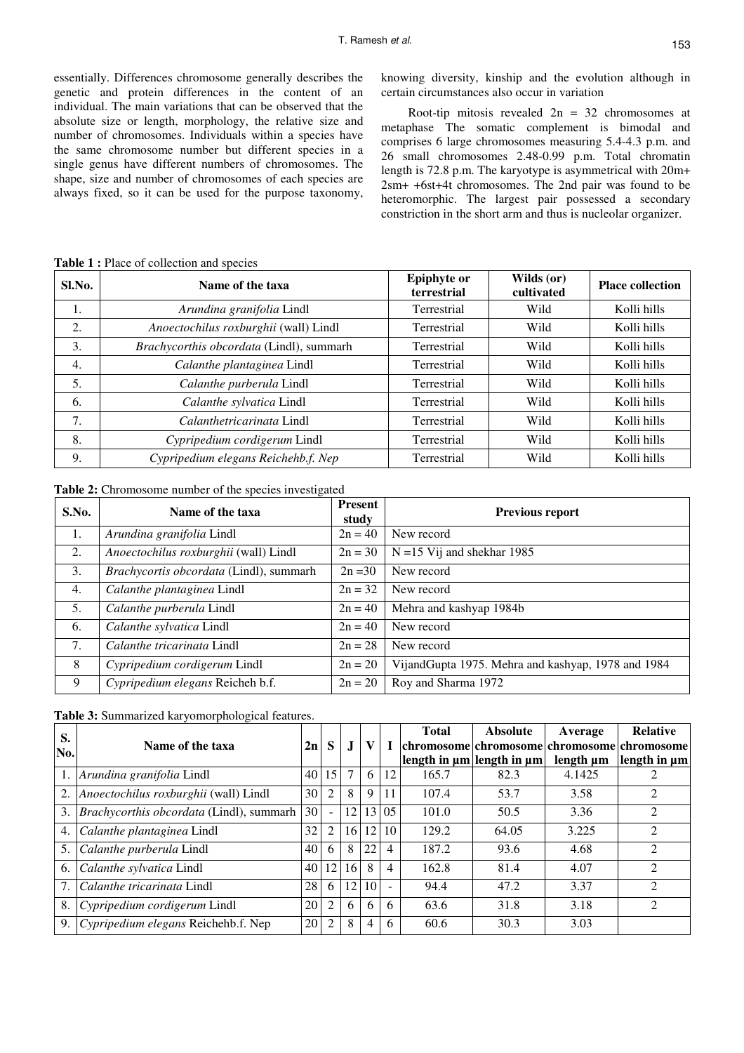essentially. Differences chromosome generally describes the genetic and protein differences in the content of an individual. The main variations that can be observed that the absolute size or length, morphology, the relative size and number of chromosomes. Individuals within a species have the same chromosome number but different species in a single genus have different numbers of chromosomes. The shape, size and number of chromosomes of each species are always fixed, so it can be used for the purpose taxonomy,

knowing diversity, kinship and the evolution although in certain circumstances also occur in variation

Root-tip mitosis revealed  $2n = 32$  chromosomes at metaphase The somatic complement is bimodal and comprises 6 large chromosomes measuring 5.4-4.3 p.m. and 26 small chromosomes 2.48-0.99 p.m. Total chromatin length is 72.8 p.m. The karyotype is asymmetrical with 20m+ 2sm+ +6st+4t chromosomes. The 2nd pair was found to be heteromorphic. The largest pair possessed a secondary constriction in the short arm and thus is nucleolar organizer.

| Sl.No. | Name of the taxa                         | <b>Epiphyte or</b><br>terrestrial | Wilds (or)<br>cultivated | <b>Place collection</b> |
|--------|------------------------------------------|-----------------------------------|--------------------------|-------------------------|
| 1.     | Arundina granifolia Lindl                | Terrestrial                       | Wild                     | Kolli hills             |
| 2.     | Anoectochilus roxburghii (wall) Lindl    | Terrestrial                       | Wild                     | Kolli hills             |
| 3.     | Brachycorthis obcordata (Lindl), summarh | Terrestrial                       | Wild                     | Kolli hills             |
| 4.     | Calanthe plantaginea Lindl               | Terrestrial                       | Wild                     | Kolli hills             |
| 5.     | Calanthe purberula Lindl                 | Terrestrial                       | Wild                     | Kolli hills             |
| 6.     | Calanthe sylvatica Lindl                 | Terrestrial                       | Wild                     | Kolli hills             |
| 7.     | Calanthetricarinata Lindl                | Terrestrial                       | Wild                     | Kolli hills             |
| 8.     | Cypripedium cordigerum Lindl             | Terrestrial                       | Wild                     | Kolli hills             |
| 9.     | Cypripedium elegans Reichehb.f. Nep      | Terrestrial                       | Wild                     | Kolli hills             |

**Table 1 :** Place of collection and species

Table 2: Chromosome number of the species investigated

| S.No. | Name of the taxa                        | <b>Present</b><br>study | <b>Previous report</b>                             |  |
|-------|-----------------------------------------|-------------------------|----------------------------------------------------|--|
| 1.    | Arundina granifolia Lindl               | $2n = 40$               | New record                                         |  |
| 2.    | Anoectochilus roxburghii (wall) Lindl   | $2n = 30$               | $N = 15$ Vij and shekhar 1985                      |  |
| 3.    | Brachycortis obcordata (Lindl), summarh | $2n = 30$               | New record                                         |  |
| 4.    | Calanthe plantaginea Lindl              | $2n = 32$               | New record                                         |  |
| 5.    | Calanthe purberula Lindl                | $2n = 40$               | Mehra and kashyap 1984b                            |  |
| 6.    | Calanthe sylvatica Lindl                | $2n = 40$               | New record                                         |  |
| 7.    | Calanthe tricarinata Lindl              | $2n = 28$               | New record                                         |  |
| 8     | Cypripedium cordigerum Lindl            | $2n = 20$               | VijandGupta 1975. Mehra and kashyap, 1978 and 1984 |  |
| 9     | Cypripedium elegans Reicheh b.f.        | $2n = 20$               | Roy and Sharma 1972                                |  |

**Table 3:** Summarized karyomorphological features.

| S.               |                                                 | 2n    |                |     |                 |                | <b>Total</b>                        | <b>Absolute</b> | Average                                                  | <b>Relative</b>             |
|------------------|-------------------------------------------------|-------|----------------|-----|-----------------|----------------|-------------------------------------|-----------------|----------------------------------------------------------|-----------------------------|
| No.              | Name of the taxa                                |       | S              | J   | V               |                | length in $\mu$ m length in $\mu$ m |                 | chromosome chromosome chromosome chromosome<br>length um | length in $\mu$ m           |
|                  | Arundina granifolia Lindl                       |       | 40 15          |     | 6               | 12             | 165.7                               | 82.3            | 4.1425                                                   |                             |
| 2.               | Anoectochilus roxburghii (wall) Lindl           | 30    | $\overline{2}$ | 8   | 9               | 11             | 107.4                               | 53.7            | 3.58                                                     | $\mathcal{D}_{\mathcal{L}}$ |
| 3.               | <i>Brachycorthis obcordata</i> (Lindl), summarh | 30    | $\sim$         | 12  | 13 <sup>1</sup> | 0.5            | 101.0                               | 50.5            | 3.36                                                     | $\mathcal{D}_{\mathcal{L}}$ |
| $\overline{4}$ . | Calanthe plantaginea Lindl                      | 32    | 2              | 16  | 12              | 10             | 129.2                               | 64.05           | 3.225                                                    | $\overline{2}$              |
| 5.               | Calanthe purberula Lindl                        | 40    | 6              | 8   | 22              | 4              | 187.2                               | 93.6            | 4.68                                                     | $\mathfrak{D}$              |
| 6.               | Calanthe sylvatica Lindl                        | 40 12 |                | 16  | 8               | $\overline{4}$ | 162.8                               | 81.4            | 4.07                                                     | $\mathfrak{D}$              |
| 7.               | <i>Calanthe tricarinata Lindl</i>               | 28    | 6              | 12. | 10              |                | 94.4                                | 47.2            | 3.37                                                     | $\mathfrak{D}$              |
| 8.               | Cypripedium cordigerum Lindl                    | 20    | $\overline{2}$ | 6   | 6               | 6              | 63.6                                | 31.8            | 3.18                                                     | $\mathfrak{D}$              |
| 9.               | Cypripedium elegans Reichehb.f. Nep             | 20    | $\mathcal{L}$  | 8   | $\overline{4}$  | 6              | 60.6                                | 30.3            | 3.03                                                     |                             |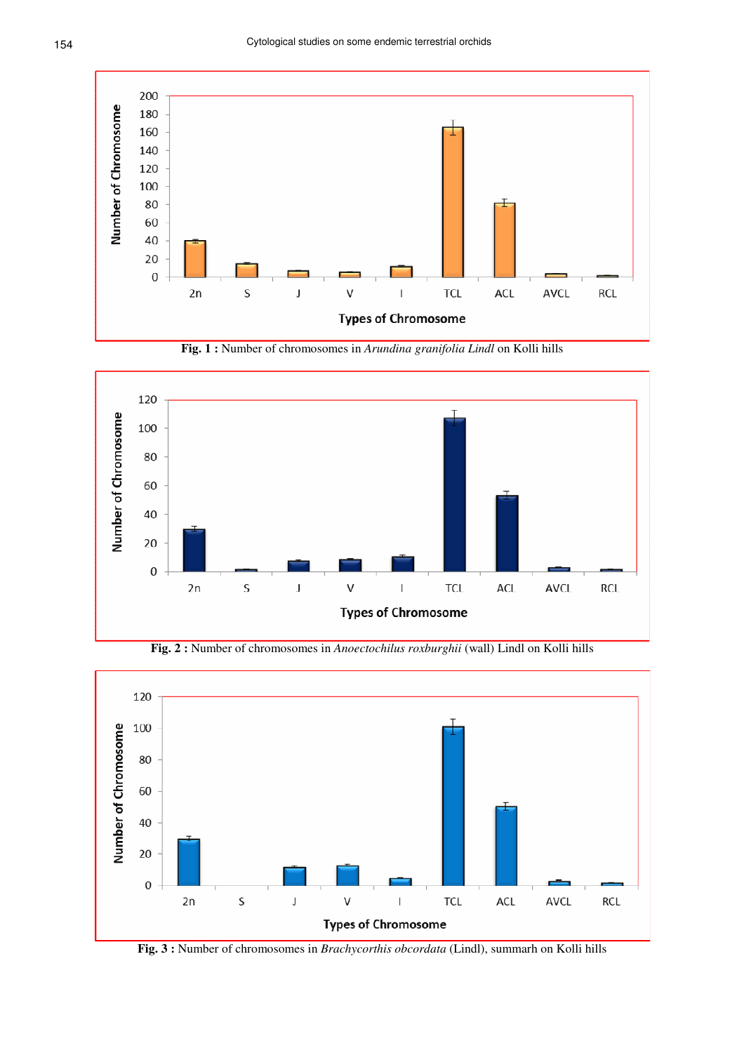

**Fig. 1 :** Number of chromosomes in *Arundina granifolia Lindl* on Kolli hills



**Fig. 2 :** Number of chromosomes in *Anoectochilus roxburghii* (wall) Lindl on Kolli hills



**Fig. 3 :** Number of chromosomes in *Brachycorthis obcordata* (Lindl), summarh on Kolli hills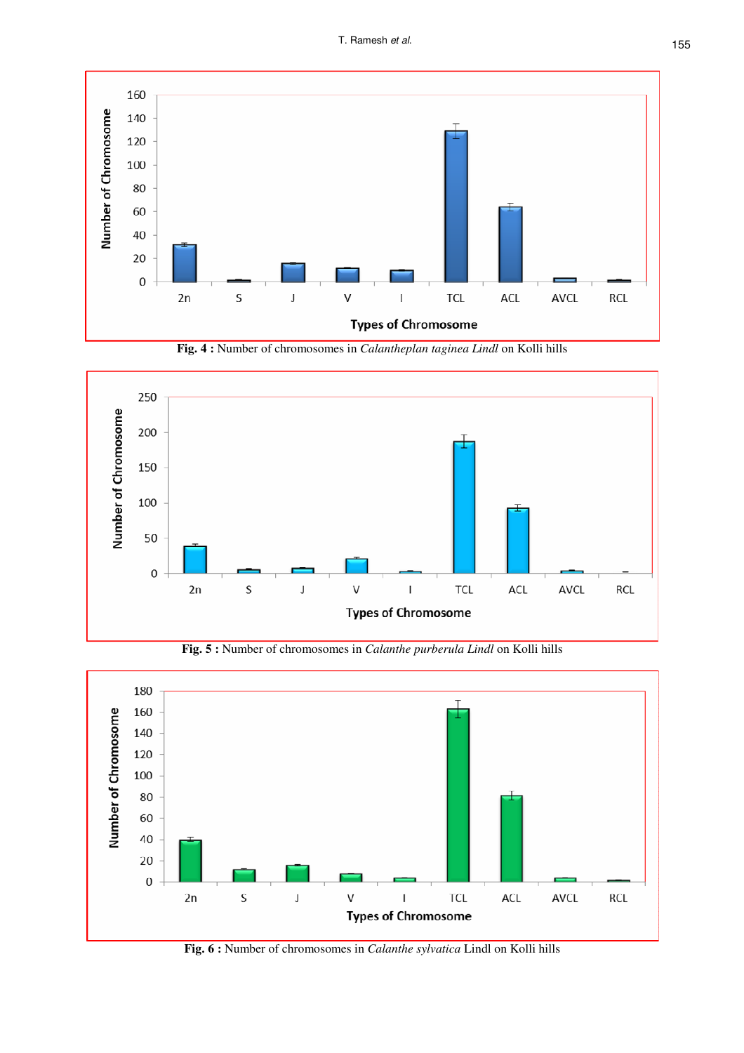

**Fig. 4 :** Number of chromosomes in *Calantheplan taginea Lindl* on Kolli hills



**Fig. 5 :** Number of chromosomes in *Calanthe purberula Lindl* on Kolli hills



**Fig. 6 :** Number of chromosomes in *Calanthe sylvatica* Lindl on Kolli hills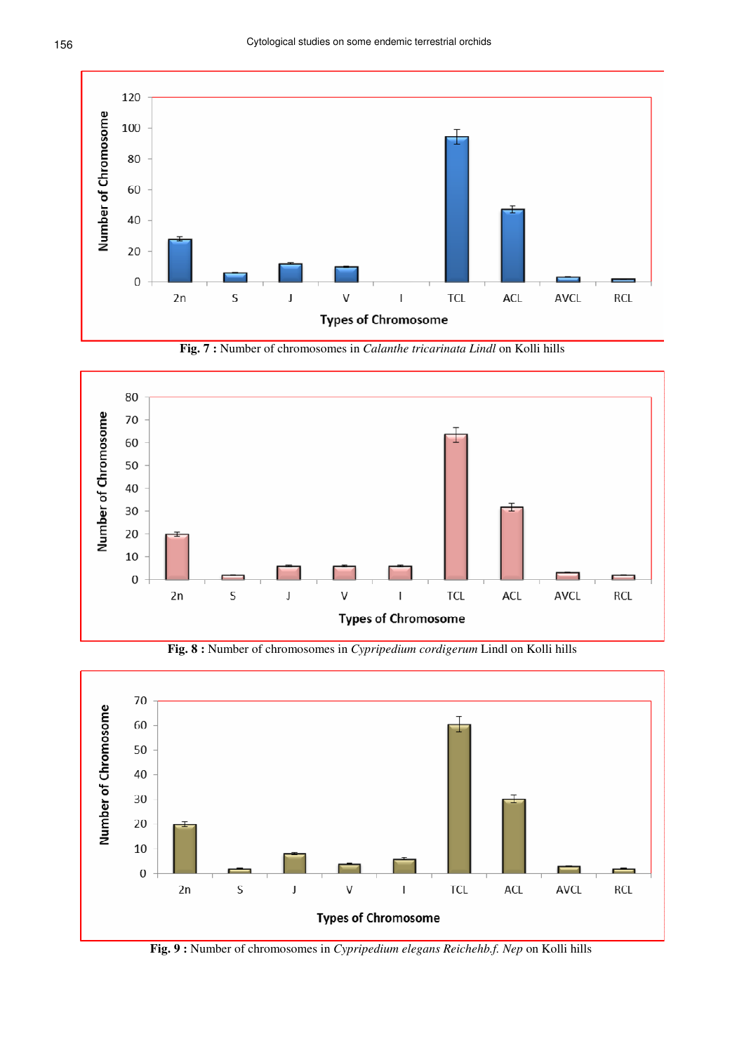

**Fig. 7 :** Number of chromosomes in *Calanthe tricarinata Lindl* on Kolli hills



**Fig. 8 :** Number of chromosomes in *Cypripedium cordigerum* Lindl on Kolli hills



**Fig. 9 :** Number of chromosomes in *Cypripedium elegans Reichehb.f. Nep* on Kolli hills